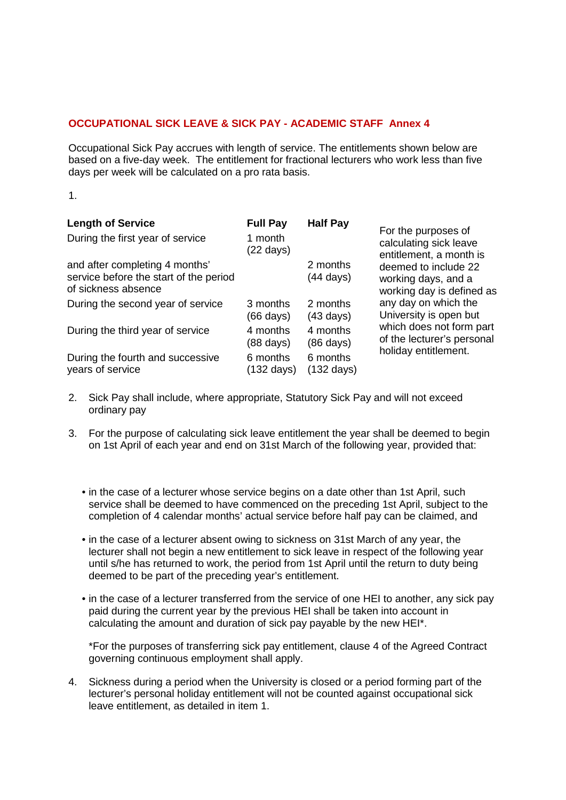## **OCCUPATIONAL SICK LEAVE & SICK PAY - ACADEMIC STAFF Annex 4**

Occupational Sick Pay accrues with length of service. The entitlements shown below are based on a five-day week. The entitlement for fractional lecturers who work less than five days per week will be calculated on a pro rata basis.

1.

| <b>Length of Service</b><br>During the first year of service                                    | <b>Full Pay</b><br>1 month<br>(22 days) | <b>Half Pay</b>                  | For the purposes of<br>calculating sick leave<br>entitlement, a month is<br>deemed to include 22<br>working days, and a<br>working day is defined as<br>any day on which the<br>University is open but<br>which does not form part<br>of the lecturer's personal<br>holiday entitlement. |
|-------------------------------------------------------------------------------------------------|-----------------------------------------|----------------------------------|------------------------------------------------------------------------------------------------------------------------------------------------------------------------------------------------------------------------------------------------------------------------------------------|
| and after completing 4 months'<br>service before the start of the period<br>of sickness absence |                                         | 2 months<br>(44 days)            |                                                                                                                                                                                                                                                                                          |
| During the second year of service                                                               | 3 months<br>(66 days)                   | 2 months<br>$(43 \text{ days})$  |                                                                                                                                                                                                                                                                                          |
| During the third year of service                                                                | 4 months<br>(88 days)                   | 4 months<br>$(86 \text{ days})$  |                                                                                                                                                                                                                                                                                          |
| During the fourth and successive<br>years of service                                            | 6 months<br>$(132 \text{ days})$        | 6 months<br>$(132 \text{ days})$ |                                                                                                                                                                                                                                                                                          |

- 2. Sick Pay shall include, where appropriate, Statutory Sick Pay and will not exceed ordinary pay
- 3. For the purpose of calculating sick leave entitlement the year shall be deemed to begin on 1st April of each year and end on 31st March of the following year, provided that:
	- in the case of a lecturer whose service begins on a date other than 1st April, such service shall be deemed to have commenced on the preceding 1st April, subject to the completion of 4 calendar months' actual service before half pay can be claimed, and
	- in the case of a lecturer absent owing to sickness on 31st March of any year, the lecturer shall not begin a new entitlement to sick leave in respect of the following year until s/he has returned to work, the period from 1st April until the return to duty being deemed to be part of the preceding year's entitlement.
	- in the case of a lecturer transferred from the service of one HEI to another, any sick pay paid during the current year by the previous HEI shall be taken into account in calculating the amount and duration of sick pay payable by the new HEI\*.

\*For the purposes of transferring sick pay entitlement, clause 4 of the Agreed Contract governing continuous employment shall apply.

4. Sickness during a period when the University is closed or a period forming part of the lecturer's personal holiday entitlement will not be counted against occupational sick leave entitlement, as detailed in item 1.